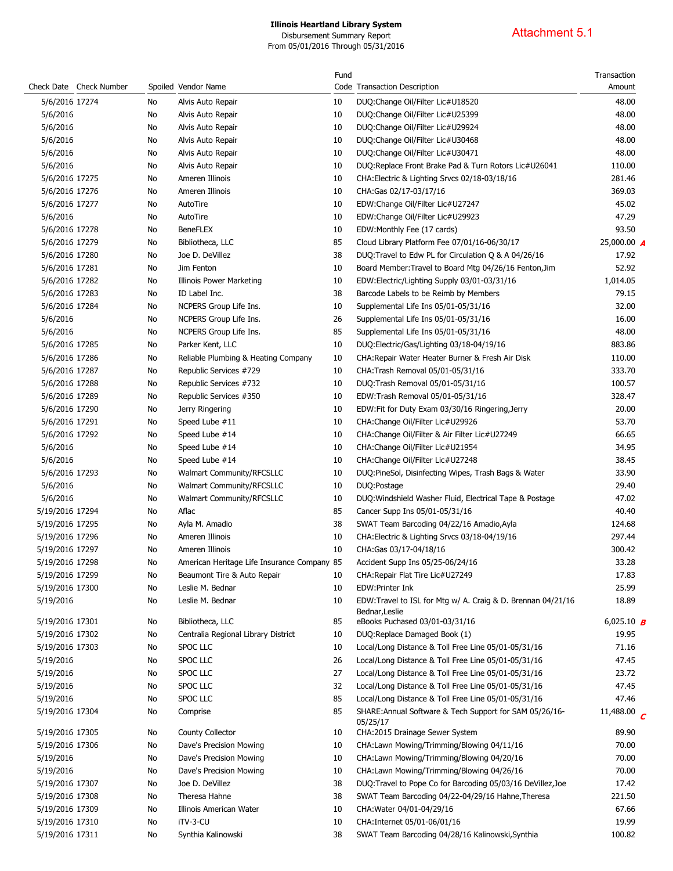Disbursement Summary Report From 05/01/2016 Through 05/31/2016

# Attachment 5.1

|                 |                         |    |                                             | Fund |                                                                               | Transaction        |
|-----------------|-------------------------|----|---------------------------------------------|------|-------------------------------------------------------------------------------|--------------------|
|                 | Check Date Check Number |    | Spoiled Vendor Name                         |      | Code Transaction Description                                                  | Amount             |
| 5/6/2016 17274  |                         | No | Alvis Auto Repair                           | 10   | DUQ:Change Oil/Filter Lic#U18520                                              | 48.00              |
| 5/6/2016        |                         | No | Alvis Auto Repair                           | 10   | DUQ:Change Oil/Filter Lic#U25399                                              | 48.00              |
| 5/6/2016        |                         | No | Alvis Auto Repair                           | 10   | DUQ:Change Oil/Filter Lic#U29924                                              | 48.00              |
| 5/6/2016        |                         | No | Alvis Auto Repair                           | 10   | DUQ:Change Oil/Filter Lic#U30468                                              | 48.00              |
| 5/6/2016        |                         | No | Alvis Auto Repair                           | 10   | DUQ:Change Oil/Filter Lic#U30471                                              | 48.00              |
| 5/6/2016        |                         | No | Alvis Auto Repair                           | 10   | DUQ:Replace Front Brake Pad & Turn Rotors Lic#U26041                          | 110.00             |
| 5/6/2016 17275  |                         | No | Ameren Illinois                             | 10   | CHA: Electric & Lighting Srvcs 02/18-03/18/16                                 | 281.46             |
| 5/6/2016 17276  |                         | No | Ameren Illinois                             | 10   | CHA:Gas 02/17-03/17/16                                                        | 369.03             |
| 5/6/2016 17277  |                         | No | AutoTire                                    | 10   | EDW:Change Oil/Filter Lic#U27247                                              | 45.02              |
| 5/6/2016        |                         | No | AutoTire                                    | 10   | EDW:Change Oil/Filter Lic#U29923                                              | 47.29              |
| 5/6/2016 17278  |                         | No | <b>BeneFLEX</b>                             | 10   | EDW:Monthly Fee (17 cards)                                                    | 93.50              |
| 5/6/2016 17279  |                         | No | Bibliotheca, LLC                            | 85   | Cloud Library Platform Fee 07/01/16-06/30/17                                  | 25,000.00 $\bm{A}$ |
| 5/6/2016 17280  |                         | No | Joe D. DeVillez                             | 38   | DUQ: Travel to Edw PL for Circulation Q & A 04/26/16                          | 17.92              |
| 5/6/2016 17281  |                         | No | Jim Fenton                                  | 10   | Board Member: Travel to Board Mtg 04/26/16 Fenton, Jim                        | 52.92              |
| 5/6/2016 17282  |                         | No | <b>Illinois Power Marketing</b>             | 10   | EDW:Electric/Lighting Supply 03/01-03/31/16                                   | 1,014.05           |
| 5/6/2016 17283  |                         | No | ID Label Inc.                               | 38   | Barcode Labels to be Reimb by Members                                         | 79.15              |
| 5/6/2016 17284  |                         | No | NCPERS Group Life Ins.                      | 10   | Supplemental Life Ins 05/01-05/31/16                                          | 32.00              |
| 5/6/2016        |                         | No | NCPERS Group Life Ins.                      | 26   | Supplemental Life Ins 05/01-05/31/16                                          | 16.00              |
| 5/6/2016        |                         | No | NCPERS Group Life Ins.                      | 85   | Supplemental Life Ins 05/01-05/31/16                                          | 48.00              |
| 5/6/2016 17285  |                         | No | Parker Kent, LLC                            | 10   | DUQ:Electric/Gas/Lighting 03/18-04/19/16                                      | 883.86             |
| 5/6/2016 17286  |                         | No | Reliable Plumbing & Heating Company         | 10   | CHA: Repair Water Heater Burner & Fresh Air Disk                              | 110.00             |
| 5/6/2016 17287  |                         | No | Republic Services #729                      | 10   | CHA: Trash Removal 05/01-05/31/16                                             | 333.70             |
| 5/6/2016 17288  |                         | No | Republic Services #732                      | 10   | DUQ:Trash Removal 05/01-05/31/16                                              | 100.57             |
| 5/6/2016 17289  |                         | No | Republic Services #350                      | 10   | EDW:Trash Removal 05/01-05/31/16                                              | 328.47             |
| 5/6/2016 17290  |                         | No | Jerry Ringering                             | 10   | EDW: Fit for Duty Exam 03/30/16 Ringering, Jerry                              | 20.00              |
| 5/6/2016 17291  |                         | No | Speed Lube #11                              | 10   | CHA: Change Oil/Filter Lic#U29926                                             | 53.70              |
| 5/6/2016 17292  |                         | No | Speed Lube #14                              | 10   | CHA: Change Oil/Filter & Air Filter Lic#U27249                                | 66.65              |
| 5/6/2016        |                         | No | Speed Lube #14                              | 10   | CHA: Change Oil/Filter Lic#U21954                                             | 34.95              |
| 5/6/2016        |                         | No | Speed Lube #14                              | 10   | CHA:Change Oil/Filter Lic#U27248                                              | 38.45              |
| 5/6/2016 17293  |                         | No | Walmart Community/RFCSLLC                   | 10   | DUQ:PineSol, Disinfecting Wipes, Trash Bags & Water                           | 33.90              |
| 5/6/2016        |                         | No | <b>Walmart Community/RFCSLLC</b>            | 10   | DUQ:Postage                                                                   | 29.40              |
| 5/6/2016        |                         | No | Walmart Community/RFCSLLC                   | 10   | DUQ: Windshield Washer Fluid, Electrical Tape & Postage                       | 47.02              |
| 5/19/2016 17294 |                         | No | Aflac                                       | 85   | Cancer Supp Ins 05/01-05/31/16                                                | 40.40              |
| 5/19/2016 17295 |                         | No | Ayla M. Amadio                              | 38   | SWAT Team Barcoding 04/22/16 Amadio, Ayla                                     | 124.68             |
| 5/19/2016 17296 |                         | No | Ameren Illinois                             | 10   | CHA: Electric & Lighting Srvcs 03/18-04/19/16                                 | 297.44             |
| 5/19/2016 17297 |                         | No | Ameren Illinois                             | 10   | CHA:Gas 03/17-04/18/16                                                        | 300.42             |
| 5/19/2016 17298 |                         | No | American Heritage Life Insurance Company 85 |      | Accident Supp Ins 05/25-06/24/16                                              | 33.28              |
| 5/19/2016 17299 |                         | No | Beaumont Tire & Auto Repair                 | 10   | CHA: Repair Flat Tire Lic#U27249                                              | 17.83              |
| 5/19/2016 17300 |                         | No | Leslie M. Bednar                            | 10   | EDW:Printer Ink                                                               | 25.99              |
| 5/19/2016       |                         | No | Leslie M. Bednar                            | 10   | EDW:Travel to ISL for Mtg w/ A. Craig & D. Brennan 04/21/16<br>Bednar, Leslie | 18.89              |
| 5/19/2016 17301 |                         | No | Bibliotheca, LLC                            | 85   | eBooks Puchased 03/01-03/31/16                                                | 6,025.10 <b>B</b>  |
| 5/19/2016 17302 |                         | No | Centralia Regional Library District         | 10   | DUQ:Replace Damaged Book (1)                                                  | 19.95              |
| 5/19/2016 17303 |                         | No | <b>SPOC LLC</b>                             | 10   | Local/Long Distance & Toll Free Line 05/01-05/31/16                           | 71.16              |
| 5/19/2016       |                         | No | SPOC LLC                                    | 26   | Local/Long Distance & Toll Free Line 05/01-05/31/16                           | 47.45              |
| 5/19/2016       |                         | No | SPOC LLC                                    | 27   | Local/Long Distance & Toll Free Line 05/01-05/31/16                           | 23.72              |
| 5/19/2016       |                         | No | SPOC LLC                                    | 32   | Local/Long Distance & Toll Free Line 05/01-05/31/16                           | 47.45              |
| 5/19/2016       |                         | No | SPOC LLC                                    | 85   | Local/Long Distance & Toll Free Line 05/01-05/31/16                           | 47.46              |
| 5/19/2016 17304 |                         | No | Comprise                                    | 85   | SHARE: Annual Software & Tech Support for SAM 05/26/16-                       | 11,488.00 $C$      |
|                 |                         |    |                                             |      | 05/25/17                                                                      |                    |
| 5/19/2016 17305 |                         | No | County Collector                            | 10   | CHA:2015 Drainage Sewer System                                                | 89.90              |
| 5/19/2016 17306 |                         | No | Dave's Precision Mowing                     | 10   | CHA:Lawn Mowing/Trimming/Blowing 04/11/16                                     | 70.00              |
| 5/19/2016       |                         | No | Dave's Precision Mowing                     | 10   | CHA:Lawn Mowing/Trimming/Blowing 04/20/16                                     | 70.00              |
| 5/19/2016       |                         | No | Dave's Precision Mowing                     | 10   | CHA:Lawn Mowing/Trimming/Blowing 04/26/16                                     | 70.00              |
| 5/19/2016 17307 |                         | No | Joe D. DeVillez                             | 38   | DUQ:Travel to Pope Co for Barcoding 05/03/16 DeVillez, Joe                    | 17.42              |
| 5/19/2016 17308 |                         | No | Theresa Hahne                               | 38   | SWAT Team Barcoding 04/22-04/29/16 Hahne, Theresa                             | 221.50             |
| 5/19/2016 17309 |                         | No | Illinois American Water                     | 10   | CHA: Water 04/01-04/29/16                                                     | 67.66              |
| 5/19/2016 17310 |                         | No | iTV-3-CU                                    | 10   | CHA: Internet 05/01-06/01/16                                                  | 19.99              |
| 5/19/2016 17311 |                         | No | Synthia Kalinowski                          | 38   | SWAT Team Barcoding 04/28/16 Kalinowski, Synthia                              | 100.82             |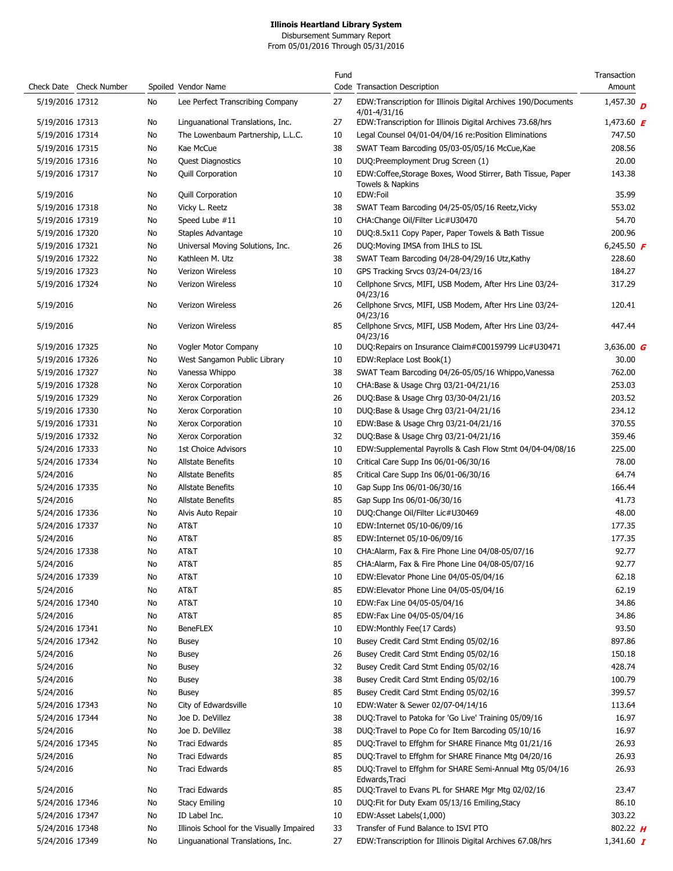Disbursement Summary Report From 05/01/2016 Through 05/31/2016

|                 |                         |     |                                           | Fund |                                                                                | Transaction       |
|-----------------|-------------------------|-----|-------------------------------------------|------|--------------------------------------------------------------------------------|-------------------|
|                 | Check Date Check Number |     | Spoiled Vendor Name                       |      | Code Transaction Description                                                   | Amount            |
| 5/19/2016 17312 |                         | No  | Lee Perfect Transcribing Company          | 27   | EDW:Transcription for Illinois Digital Archives 190/Documents<br>4/01-4/31/16  | 1,457.30 $p$      |
| 5/19/2016 17313 |                         | No  | Linguanational Translations, Inc.         | 27   | EDW:Transcription for Illinois Digital Archives 73.68/hrs                      | 1,473.60 $\bm{F}$ |
| 5/19/2016 17314 |                         | No  | The Lowenbaum Partnership, L.L.C.         | 10   | Legal Counsel 04/01-04/04/16 re: Position Eliminations                         | 747.50            |
| 5/19/2016 17315 |                         | No  | Kae McCue                                 | 38   | SWAT Team Barcoding 05/03-05/05/16 McCue, Kae                                  | 208.56            |
| 5/19/2016 17316 |                         | No  | <b>Quest Diagnostics</b>                  | 10   | DUQ:Preemployment Drug Screen (1)                                              | 20.00             |
| 5/19/2016 17317 |                         | No  | Quill Corporation                         | 10   | EDW:Coffee,Storage Boxes, Wood Stirrer, Bath Tissue, Paper<br>Towels & Napkins | 143.38            |
| 5/19/2016       |                         | No  | <b>Quill Corporation</b>                  | 10   | EDW:Foil                                                                       | 35.99             |
| 5/19/2016 17318 |                         | No  | Vicky L. Reetz                            | 38   | SWAT Team Barcoding 04/25-05/05/16 Reetz, Vicky                                | 553.02            |
| 5/19/2016 17319 |                         | No  | Speed Lube #11                            | 10   | CHA:Change Oil/Filter Lic#U30470                                               | 54.70             |
| 5/19/2016 17320 |                         | No  | Staples Advantage                         | 10   | DUQ:8.5x11 Copy Paper, Paper Towels & Bath Tissue                              | 200.96            |
| 5/19/2016 17321 |                         | No  | Universal Moving Solutions, Inc.          | 26   | DUQ: Moving IMSA from IHLS to ISL                                              | 6,245.50 $\bm{F}$ |
| 5/19/2016 17322 |                         | No  | Kathleen M. Utz                           | 38   | SWAT Team Barcoding 04/28-04/29/16 Utz, Kathy                                  | 228.60            |
| 5/19/2016 17323 |                         | No  | <b>Verizon Wireless</b>                   | 10   | GPS Tracking Srvcs 03/24-04/23/16                                              | 184.27            |
| 5/19/2016 17324 |                         | No  | <b>Verizon Wireless</b>                   | 10   | Cellphone Srvcs, MIFI, USB Modem, After Hrs Line 03/24-<br>04/23/16            | 317.29            |
| 5/19/2016       |                         | No  | Verizon Wireless                          | 26   | Cellphone Srvcs, MIFI, USB Modem, After Hrs Line 03/24-<br>04/23/16            | 120.41            |
| 5/19/2016       |                         | No  | Verizon Wireless                          | 85   | Cellphone Srvcs, MIFI, USB Modem, After Hrs Line 03/24-<br>04/23/16            | 447.44            |
| 5/19/2016 17325 |                         | No  | Vogler Motor Company                      | 10   | DUQ: Repairs on Insurance Claim#C00159799 Lic#U30471                           | 3,636.00 $G$      |
| 5/19/2016 17326 |                         | No  | West Sangamon Public Library              | 10   | EDW:Replace Lost Book(1)                                                       | 30.00             |
| 5/19/2016 17327 |                         | No  | Vanessa Whippo                            | 38   | SWAT Team Barcoding 04/26-05/05/16 Whippo, Vanessa                             | 762.00            |
| 5/19/2016 17328 |                         | No  | Xerox Corporation                         | 10   | CHA:Base & Usage Chrg 03/21-04/21/16                                           | 253.03            |
| 5/19/2016 17329 |                         | No  | Xerox Corporation                         | 26   | DUQ:Base & Usage Chrg 03/30-04/21/16                                           | 203.52            |
| 5/19/2016 17330 |                         | No  | Xerox Corporation                         | 10   | DUQ:Base & Usage Chrg 03/21-04/21/16                                           | 234.12            |
| 5/19/2016 17331 |                         | No  | Xerox Corporation                         | 10   | EDW:Base & Usage Chrg 03/21-04/21/16                                           | 370.55            |
| 5/19/2016 17332 |                         | No  | Xerox Corporation                         | 32   | DUQ:Base & Usage Chrg 03/21-04/21/16                                           | 359.46            |
| 5/24/2016 17333 |                         | No  | <b>1st Choice Advisors</b>                | 10   | EDW:Supplemental Payrolls & Cash Flow Stmt 04/04-04/08/16                      | 225.00            |
| 5/24/2016 17334 |                         | No  | <b>Allstate Benefits</b>                  | 10   | Critical Care Supp Ins 06/01-06/30/16                                          | 78.00             |
| 5/24/2016       |                         | No  | <b>Allstate Benefits</b>                  | 85   | Critical Care Supp Ins 06/01-06/30/16                                          | 64.74             |
| 5/24/2016 17335 |                         | No  | <b>Allstate Benefits</b>                  | 10   | Gap Supp Ins 06/01-06/30/16                                                    | 166.44            |
| 5/24/2016       |                         | No  | <b>Allstate Benefits</b>                  | 85   | Gap Supp Ins 06/01-06/30/16                                                    | 41.73             |
| 5/24/2016 17336 |                         | No  | Alvis Auto Repair                         | 10   | DUQ:Change Oil/Filter Lic#U30469                                               | 48.00             |
| 5/24/2016 17337 |                         | No  | AT&T                                      | 10   | EDW:Internet 05/10-06/09/16                                                    | 177.35            |
| 5/24/2016       |                         | No  | AT&T                                      | 85   | EDW:Internet 05/10-06/09/16                                                    | 177.35            |
| 5/24/2016 17338 |                         | No  | AT&T                                      | 10   | CHA:Alarm, Fax & Fire Phone Line 04/08-05/07/16                                | 92.77             |
| 5/24/2016       |                         | No. | AT&T                                      | 85   | CHA:Alarm, Fax & Fire Phone Line 04/08-05/07/16                                | 92.77             |
| 5/24/2016 17339 |                         | No  | AT&T                                      | 10   | EDW:Elevator Phone Line 04/05-05/04/16                                         | 62.18             |
| 5/24/2016       |                         | No  | AT&T                                      | 85   | EDW:Elevator Phone Line 04/05-05/04/16                                         | 62.19             |
|                 |                         |     | AT&T                                      |      |                                                                                | 34.86             |
| 5/24/2016 17340 |                         | No  |                                           | 10   | EDW:Fax Line 04/05-05/04/16                                                    |                   |
| 5/24/2016       |                         | No  | AT&T                                      | 85   | EDW:Fax Line 04/05-05/04/16                                                    | 34.86             |
| 5/24/2016 17341 |                         | No  | <b>BeneFLEX</b>                           | 10   | EDW:Monthly Fee(17 Cards)                                                      | 93.50             |
| 5/24/2016 17342 |                         | No  | Busey                                     | 10   | Busey Credit Card Stmt Ending 05/02/16                                         | 897.86            |
| 5/24/2016       |                         | No  | Busey                                     | 26   | Busey Credit Card Stmt Ending 05/02/16                                         | 150.18            |
| 5/24/2016       |                         | No  | <b>Busey</b>                              | 32   | Busey Credit Card Stmt Ending 05/02/16                                         | 428.74            |
| 5/24/2016       |                         | No  | <b>Busey</b>                              | 38   | Busey Credit Card Stmt Ending 05/02/16                                         | 100.79            |
| 5/24/2016       |                         | No  | <b>Busey</b>                              | 85   | Busey Credit Card Stmt Ending 05/02/16                                         | 399.57            |
| 5/24/2016 17343 |                         | No  | City of Edwardsville                      | 10   | EDW:Water & Sewer 02/07-04/14/16                                               | 113.64            |
| 5/24/2016 17344 |                         | No  | Joe D. DeVillez                           | 38   | DUQ: Travel to Patoka for 'Go Live' Training 05/09/16                          | 16.97             |
| 5/24/2016       |                         | No  | Joe D. DeVillez                           | 38   | DUQ: Travel to Pope Co for Item Barcoding 05/10/16                             | 16.97             |
| 5/24/2016 17345 |                         | No  | Traci Edwards                             | 85   | DUQ: Travel to Effghm for SHARE Finance Mtg 01/21/16                           | 26.93             |
| 5/24/2016       |                         | No  | Traci Edwards                             | 85   | DUQ: Travel to Effghm for SHARE Finance Mtg 04/20/16                           | 26.93             |
| 5/24/2016       |                         | No  | Traci Edwards                             | 85   | DUQ:Travel to Effghm for SHARE Semi-Annual Mtg 05/04/16<br>Edwards, Traci      | 26.93             |
| 5/24/2016       |                         | No  | Traci Edwards                             | 85   | DUQ: Travel to Evans PL for SHARE Mgr Mtg 02/02/16                             | 23.47             |
| 5/24/2016 17346 |                         | No  | <b>Stacy Emiling</b>                      | 10   | DUQ: Fit for Duty Exam 05/13/16 Emiling, Stacy                                 | 86.10             |
| 5/24/2016 17347 |                         | No  | ID Label Inc.                             | 10   | EDW:Asset Labels(1,000)                                                        | 303.22            |
| 5/24/2016 17348 |                         | No  | Illinois School for the Visually Impaired | 33   | Transfer of Fund Balance to ISVI PTO                                           | 802.22 $H$        |
| 5/24/2016 17349 |                         | No  | Linguanational Translations, Inc.         | 27   | EDW:Transcription for Illinois Digital Archives 67.08/hrs                      | 1,341.60 $\bm{I}$ |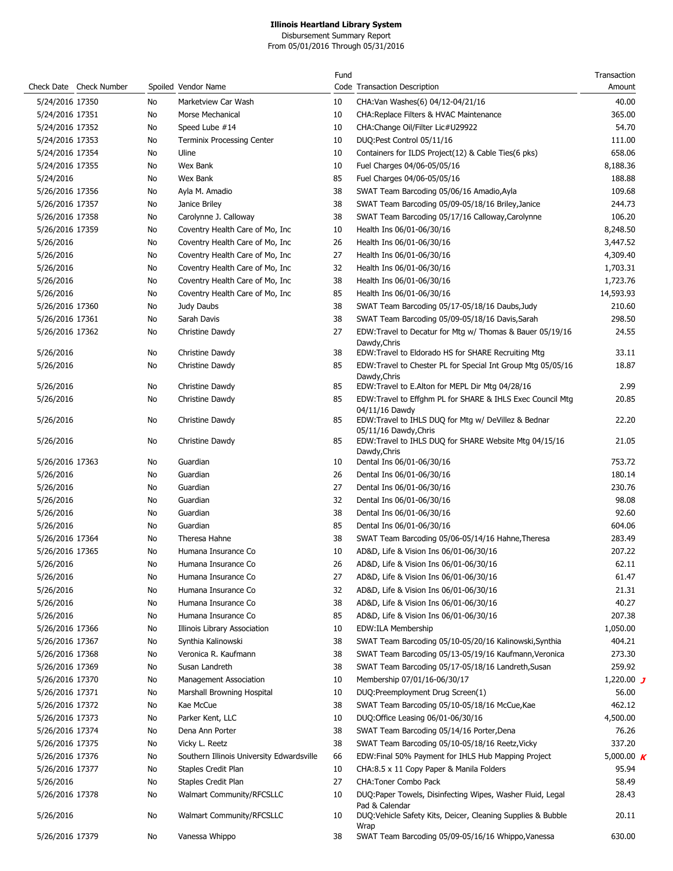Disbursement Summary Report From 05/01/2016 Through 05/31/2016

|                 |                         |    |                                           | Fund |                                                                       | Transaction  |
|-----------------|-------------------------|----|-------------------------------------------|------|-----------------------------------------------------------------------|--------------|
|                 | Check Date Check Number |    | Spoiled Vendor Name                       |      | Code Transaction Description                                          | Amount       |
| 5/24/2016 17350 |                         | No | Marketview Car Wash                       | 10   | CHA: Van Washes(6) 04/12-04/21/16                                     | 40.00        |
| 5/24/2016 17351 |                         | No | Morse Mechanical                          | 10   | CHA: Replace Filters & HVAC Maintenance                               | 365.00       |
| 5/24/2016 17352 |                         | No | Speed Lube #14                            | 10   | CHA:Change Oil/Filter Lic#U29922                                      | 54.70        |
| 5/24/2016 17353 |                         | No | <b>Terminix Processing Center</b>         | 10   | DUQ:Pest Control 05/11/16                                             | 111.00       |
| 5/24/2016 17354 |                         | No | Uline                                     | 10   | Containers for ILDS Project(12) & Cable Ties(6 pks)                   | 658.06       |
| 5/24/2016 17355 |                         | No | Wex Bank                                  | 10   | Fuel Charges 04/06-05/05/16                                           | 8,188.36     |
|                 |                         |    |                                           |      |                                                                       |              |
| 5/24/2016       |                         | No | Wex Bank                                  | 85   | Fuel Charges 04/06-05/05/16                                           | 188.88       |
| 5/26/2016 17356 |                         | No | Ayla M. Amadio                            | 38   | SWAT Team Barcoding 05/06/16 Amadio, Ayla                             | 109.68       |
| 5/26/2016 17357 |                         | No | Janice Briley                             | 38   | SWAT Team Barcoding 05/09-05/18/16 Briley, Janice                     | 244.73       |
| 5/26/2016 17358 |                         | No | Carolynne J. Calloway                     | 38   | SWAT Team Barcoding 05/17/16 Calloway, Carolynne                      | 106.20       |
| 5/26/2016 17359 |                         | No | Coventry Health Care of Mo, Inc.          | 10   | Health Ins 06/01-06/30/16                                             | 8,248.50     |
| 5/26/2016       |                         | No | Coventry Health Care of Mo, Inc           | 26   | Health Ins 06/01-06/30/16                                             | 3,447.52     |
| 5/26/2016       |                         | No | Coventry Health Care of Mo, Inc.          | 27   | Health Ins 06/01-06/30/16                                             | 4,309.40     |
| 5/26/2016       |                         | No | Coventry Health Care of Mo, Inc.          | 32   | Health Ins 06/01-06/30/16                                             | 1,703.31     |
| 5/26/2016       |                         | No | Coventry Health Care of Mo, Inc.          | 38   | Health Ins 06/01-06/30/16                                             | 1,723.76     |
| 5/26/2016       |                         | No | Coventry Health Care of Mo, Inc           | 85   | Health Ins 06/01-06/30/16                                             | 14,593.93    |
| 5/26/2016 17360 |                         | No | Judy Daubs                                | 38   | SWAT Team Barcoding 05/17-05/18/16 Daubs, Judy                        | 210.60       |
| 5/26/2016 17361 |                         | No | Sarah Davis                               | 38   | SWAT Team Barcoding 05/09-05/18/16 Davis, Sarah                       | 298.50       |
| 5/26/2016 17362 |                         | No | Christine Dawdy                           | 27   | EDW:Travel to Decatur for Mtg w/ Thomas & Bauer 05/19/16              | 24.55        |
|                 |                         |    |                                           |      | Dawdy, Chris                                                          |              |
| 5/26/2016       |                         | No | Christine Dawdy                           | 38   | EDW:Travel to Eldorado HS for SHARE Recruiting Mtg                    | 33.11        |
| 5/26/2016       |                         | No | Christine Dawdy                           | 85   | EDW:Travel to Chester PL for Special Int Group Mtg 05/05/16           | 18.87        |
|                 |                         |    |                                           |      | Dawdy, Chris                                                          |              |
| 5/26/2016       |                         | No | Christine Dawdy                           | 85   | EDW:Travel to E.Alton for MEPL Dir Mtg 04/28/16                       | 2.99         |
| 5/26/2016       |                         | No | Christine Dawdy                           | 85   | EDW:Travel to Effghm PL for SHARE & IHLS Exec Council Mtg             | 20.85        |
| 5/26/2016       |                         | No | Christine Dawdy                           | 85   | 04/11/16 Dawdy<br>EDW:Travel to IHLS DUQ for Mtg w/ DeVillez & Bednar | 22.20        |
|                 |                         |    |                                           |      | 05/11/16 Dawdy, Chris                                                 |              |
| 5/26/2016       |                         | No | Christine Dawdy                           | 85   | EDW:Travel to IHLS DUQ for SHARE Website Mtg 04/15/16                 | 21.05        |
|                 |                         |    |                                           |      | Dawdy, Chris                                                          |              |
| 5/26/2016 17363 |                         | No | Guardian                                  | 10   | Dental Ins 06/01-06/30/16                                             | 753.72       |
| 5/26/2016       |                         | No | Guardian                                  | 26   | Dental Ins 06/01-06/30/16                                             | 180.14       |
| 5/26/2016       |                         | No | Guardian                                  | 27   | Dental Ins 06/01-06/30/16                                             | 230.76       |
| 5/26/2016       |                         | No | Guardian                                  | 32   | Dental Ins 06/01-06/30/16                                             | 98.08        |
| 5/26/2016       |                         | No | Guardian                                  | 38   | Dental Ins 06/01-06/30/16                                             | 92.60        |
| 5/26/2016       |                         | No | Guardian                                  | 85   | Dental Ins 06/01-06/30/16                                             | 604.06       |
| 5/26/2016 17364 |                         | No | Theresa Hahne                             | 38   | SWAT Team Barcoding 05/06-05/14/16 Hahne, Theresa                     | 283.49       |
| 5/26/2016 17365 |                         | No | Humana Insurance Co                       | 10   | AD&D, Life & Vision Ins 06/01-06/30/16                                | 207.22       |
| 5/26/2016       |                         | No | Humana Insurance Co                       | 26   | AD&D, Life & Vision Ins 06/01-06/30/16                                | 62.11        |
| 5/26/2016       |                         | No | Humana Insurance Co                       | 27   | AD&D, Life & Vision Ins 06/01-06/30/16                                | 61.47        |
| 5/26/2016       |                         | No | Humana Insurance Co                       | 32   | AD&D, Life & Vision Ins 06/01-06/30/16                                | 21.31        |
| 5/26/2016       |                         | No | Humana Insurance Co                       | 38   | AD&D, Life & Vision Ins 06/01-06/30/16                                | 40.27        |
|                 |                         | No | Humana Insurance Co                       | 85   |                                                                       | 207.38       |
| 5/26/2016       |                         |    |                                           |      | AD&D, Life & Vision Ins 06/01-06/30/16                                |              |
| 5/26/2016 17366 |                         | No | Illinois Library Association              | 10   | EDW:ILA Membership                                                    | 1,050.00     |
| 5/26/2016 17367 |                         | No | Synthia Kalinowski                        | 38   | SWAT Team Barcoding 05/10-05/20/16 Kalinowski, Synthia                | 404.21       |
| 5/26/2016 17368 |                         | No | Veronica R. Kaufmann                      | 38   | SWAT Team Barcoding 05/13-05/19/16 Kaufmann, Veronica                 | 273.30       |
| 5/26/2016 17369 |                         | No | Susan Landreth                            | 38   | SWAT Team Barcoding 05/17-05/18/16 Landreth, Susan                    | 259.92       |
| 5/26/2016 17370 |                         | No | Management Association                    | 10   | Membership 07/01/16-06/30/17                                          | 1,220.00 $J$ |
| 5/26/2016 17371 |                         | No | Marshall Browning Hospital                | 10   | DUQ:Preemployment Drug Screen(1)                                      | 56.00        |
| 5/26/2016 17372 |                         | No | Kae McCue                                 | 38   | SWAT Team Barcoding 05/10-05/18/16 McCue, Kae                         | 462.12       |
| 5/26/2016 17373 |                         | No | Parker Kent, LLC                          | 10   | DUQ:Office Leasing 06/01-06/30/16                                     | 4,500.00     |
| 5/26/2016 17374 |                         | No | Dena Ann Porter                           | 38   | SWAT Team Barcoding 05/14/16 Porter, Dena                             | 76.26        |
| 5/26/2016 17375 |                         | No | Vicky L. Reetz                            | 38   | SWAT Team Barcoding 05/10-05/18/16 Reetz, Vicky                       | 337.20       |
| 5/26/2016 17376 |                         | No | Southern Illinois University Edwardsville | 66   | EDW:Final 50% Payment for IHLS Hub Mapping Project                    | 5,000.00 $K$ |
| 5/26/2016 17377 |                         | No | Staples Credit Plan                       | 10   | CHA:8.5 x 11 Copy Paper & Manila Folders                              | 95.94        |
| 5/26/2016       |                         | No | Staples Credit Plan                       | 27   | CHA: Toner Combo Pack                                                 | 58.49        |
| 5/26/2016 17378 |                         | No | Walmart Community/RFCSLLC                 | 10   | DUQ:Paper Towels, Disinfecting Wipes, Washer Fluid, Legal             | 28.43        |
|                 |                         |    |                                           |      | Pad & Calendar                                                        |              |
| 5/26/2016       |                         | No | Walmart Community/RFCSLLC                 | 10   | DUQ:Vehicle Safety Kits, Deicer, Cleaning Supplies & Bubble           | 20.11        |
|                 |                         |    |                                           |      | Wrap                                                                  |              |
| 5/26/2016 17379 |                         | No | Vanessa Whippo                            | 38   | SWAT Team Barcoding 05/09-05/16/16 Whippo, Vanessa                    | 630.00       |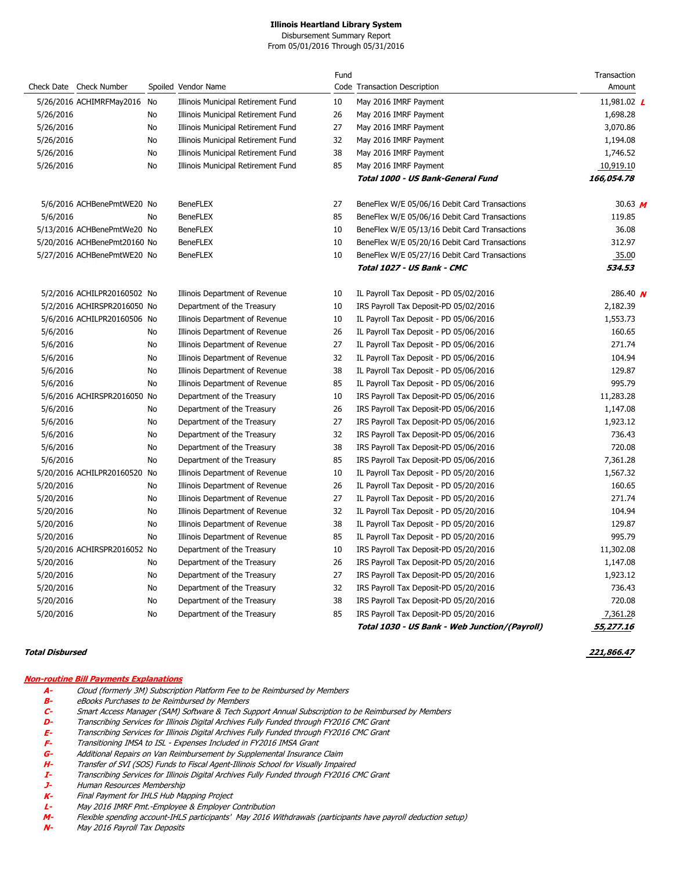Disbursement Summary Report From 05/01/2016 Through 05/31/2016

|           |                              |    |                                    | Fund |                                               | Transaction     |
|-----------|------------------------------|----|------------------------------------|------|-----------------------------------------------|-----------------|
|           | Check Date Check Number      |    | Spoiled Vendor Name                |      | Code Transaction Description                  | Amount          |
|           | 5/26/2016 ACHIMRFMay2016     | No | Illinois Municipal Retirement Fund | 10   | May 2016 IMRF Payment                         | 11,981.02 L     |
| 5/26/2016 |                              | No | Illinois Municipal Retirement Fund | 26   | May 2016 IMRF Payment                         | 1,698.28        |
| 5/26/2016 |                              | No | Illinois Municipal Retirement Fund | 27   | May 2016 IMRF Payment                         | 3,070.86        |
| 5/26/2016 |                              | No | Illinois Municipal Retirement Fund | 32   | May 2016 IMRF Payment                         | 1,194.08        |
| 5/26/2016 |                              | No | Illinois Municipal Retirement Fund | 38   | May 2016 IMRF Payment                         | 1,746.52        |
| 5/26/2016 |                              | No | Illinois Municipal Retirement Fund | 85   | May 2016 IMRF Payment                         | 10,919.10       |
|           |                              |    |                                    |      | Total 1000 - US Bank-General Fund             | 166,054.78      |
|           | 5/6/2016 ACHBenePmtWE20 No   |    | <b>BeneFLEX</b>                    | 27   | BeneFlex W/E 05/06/16 Debit Card Transactions | 30.63 $M$       |
| 5/6/2016  |                              | No | <b>BeneFLEX</b>                    | 85   | BeneFlex W/E 05/06/16 Debit Card Transactions | 119.85          |
|           | 5/13/2016 ACHBenePmtWe20 No  |    | <b>BeneFLEX</b>                    | 10   | BeneFlex W/E 05/13/16 Debit Card Transactions | 36.08           |
|           | 5/20/2016 ACHBenePmt20160 No |    | <b>BeneFLEX</b>                    | 10   | BeneFlex W/E 05/20/16 Debit Card Transactions | 312.97          |
|           | 5/27/2016 ACHBenePmtWE20 No  |    | <b>BeneFLEX</b>                    | 10   | BeneFlex W/E 05/27/16 Debit Card Transactions | 35.00           |
|           |                              |    |                                    |      | Total 1027 - US Bank - CMC                    | 534.53          |
|           | 5/2/2016 ACHILPR20160502 No  |    | Illinois Department of Revenue     | 10   | IL Payroll Tax Deposit - PD 05/02/2016        | 286.40 $\bm{N}$ |
|           | 5/2/2016 ACHIRSPR2016050 No  |    | Department of the Treasury         | 10   | IRS Payroll Tax Deposit-PD 05/02/2016         | 2,182.39        |
|           | 5/6/2016 ACHILPR20160506 No  |    | Illinois Department of Revenue     | 10   | IL Payroll Tax Deposit - PD 05/06/2016        | 1,553.73        |
| 5/6/2016  |                              | No | Illinois Department of Revenue     | 26   | IL Payroll Tax Deposit - PD 05/06/2016        | 160.65          |
| 5/6/2016  |                              | No | Illinois Department of Revenue     | 27   | IL Payroll Tax Deposit - PD 05/06/2016        | 271.74          |
| 5/6/2016  |                              | No | Illinois Department of Revenue     | 32   | IL Payroll Tax Deposit - PD 05/06/2016        | 104.94          |
| 5/6/2016  |                              | No | Illinois Department of Revenue     | 38   | IL Payroll Tax Deposit - PD 05/06/2016        | 129.87          |
| 5/6/2016  |                              | No | Illinois Department of Revenue     | 85   | IL Payroll Tax Deposit - PD 05/06/2016        | 995.79          |
|           | 5/6/2016 ACHIRSPR2016050 No  |    | Department of the Treasury         | 10   | IRS Payroll Tax Deposit-PD 05/06/2016         | 11,283.28       |
| 5/6/2016  |                              | No | Department of the Treasury         | 26   | IRS Payroll Tax Deposit-PD 05/06/2016         | 1,147.08        |
| 5/6/2016  |                              | No | Department of the Treasury         | 27   | IRS Payroll Tax Deposit-PD 05/06/2016         | 1,923.12        |
| 5/6/2016  |                              | No | Department of the Treasury         | 32   | IRS Payroll Tax Deposit-PD 05/06/2016         | 736.43          |
| 5/6/2016  |                              | No | Department of the Treasury         | 38   | IRS Payroll Tax Deposit-PD 05/06/2016         | 720.08          |
| 5/6/2016  |                              | No | Department of the Treasury         | 85   | IRS Payroll Tax Deposit-PD 05/06/2016         | 7,361.28        |
|           | 5/20/2016 ACHILPR20160520    | No | Illinois Department of Revenue     | 10   | IL Payroll Tax Deposit - PD 05/20/2016        | 1,567.32        |
| 5/20/2016 |                              | No | Illinois Department of Revenue     | 26   | IL Payroll Tax Deposit - PD 05/20/2016        | 160.65          |
| 5/20/2016 |                              | No | Illinois Department of Revenue     | 27   | IL Payroll Tax Deposit - PD 05/20/2016        | 271.74          |
| 5/20/2016 |                              | No | Illinois Department of Revenue     | 32   | IL Payroll Tax Deposit - PD 05/20/2016        | 104.94          |
| 5/20/2016 |                              | No | Illinois Department of Revenue     | 38   | IL Payroll Tax Deposit - PD 05/20/2016        | 129.87          |
| 5/20/2016 |                              | No | Illinois Department of Revenue     | 85   | IL Payroll Tax Deposit - PD 05/20/2016        | 995.79          |
|           | 5/20/2016 ACHIRSPR2016052 No |    | Department of the Treasury         | 10   | IRS Payroll Tax Deposit-PD 05/20/2016         | 11,302.08       |
| 5/20/2016 |                              | No | Department of the Treasury         | 26   | IRS Payroll Tax Deposit-PD 05/20/2016         | 1,147.08        |
| 5/20/2016 |                              | No | Department of the Treasury         | 27   | IRS Payroll Tax Deposit-PD 05/20/2016         | 1,923.12        |
| 5/20/2016 |                              | No | Department of the Treasury         | 32   | IRS Payroll Tax Deposit-PD 05/20/2016         | 736.43          |
| 5/20/2016 |                              | No | Department of the Treasury         | 38   | IRS Payroll Tax Deposit-PD 05/20/2016         | 720.08          |
| 5/20/2016 |                              | No | Department of the Treasury         | 85   | IRS Payroll Tax Deposit-PD 05/20/2016         | 7,361.28        |
|           |                              |    |                                    |      | Total 1030 - US Bank - Web Junction/(Payroll) | 55,277.16       |

#### **Total Disbursed 221,866.47**

### **Non-routine Bill Payments Explanations**

- **A-** Cloud (formerly 3M) Subscription Platform Fee to be Reimbursed by Members
- **B-** eBooks Purchases to be Reimbursed by Members
- **C-** Smart Access Manager (SAM) Software & Tech Support Annual Subscription to be Reimbursed by Members
- **D-** Transcribing Services for Illinois Digital Archives Fully Funded through FY2016 CMC Grant
- **E-** Transcribing Services for Illinois Digital Archives Fully Funded through FY2016 CMC Grant
- 
- **F-** Transitioning IMSA to ISL Expenses Included in FY2016 IMSA Grant **G-** Additional Repairs on Van Reimbursement by Supplemental Insurance Claim
- 
- **H-** Transfer of SVI (SOS) Funds to Fiscal Agent-Illinois School for Visually Impaired **I-** Transcribing Services for Illinois Digital Archives Fully Funded through FY2016 CMC Grant
- **J-** Human Resources Membership
- **K-** Final Payment for IHLS Hub Mapping Project
- **L-** May 2016 IMRF Pmt.-Employee & Employer Contribution
- **M-** Flexible spending account-IHLS participants' May 2016 Withdrawals (participants have payroll deduction setup)
- May 2016 Payroll Tax Deposits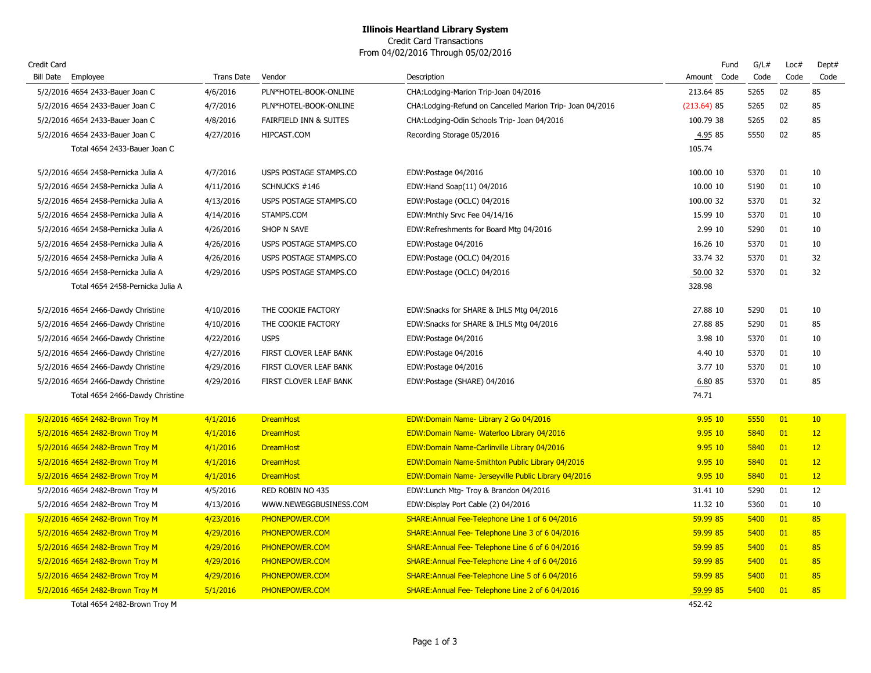Credit Card Transactions From 04/02/2016 Through 05/02/2016

| Credit Card |                                     |            |                        |                                                            |               | Fund | G/L# | Loc# | Dept#           |
|-------------|-------------------------------------|------------|------------------------|------------------------------------------------------------|---------------|------|------|------|-----------------|
|             | Bill Date Employee                  | Trans Date | Vendor                 | Description                                                | Amount Code   |      | Code | Code | Code            |
|             | 5/2/2016 4654 2433-Bauer Joan C     | 4/6/2016   | PLN*HOTEL-BOOK-ONLINE  | CHA: Lodging-Marion Trip-Joan 04/2016                      | 213.64 85     |      | 5265 | 02   | 85              |
|             | 5/2/2016 4654 2433-Bauer Joan C     | 4/7/2016   | PLN*HOTEL-BOOK-ONLINE  | CHA: Lodging-Refund on Cancelled Marion Trip- Joan 04/2016 | $(213.64)$ 85 |      | 5265 | 02   | 85              |
|             | 5/2/2016 4654 2433-Bauer Joan C     | 4/8/2016   | FAIRFIELD INN & SUITES | CHA: Lodging-Odin Schools Trip- Joan 04/2016               | 100.79 38     |      | 5265 | 02   | 85              |
|             | 5/2/2016 4654 2433-Bauer Joan C     | 4/27/2016  | HIPCAST.COM            | Recording Storage 05/2016                                  | 4.95 85       |      | 5550 | 02   | 85              |
|             | Total 4654 2433-Bauer Joan C        |            |                        |                                                            | 105.74        |      |      |      |                 |
|             | 5/2/2016 4654 2458-Pernicka Julia A | 4/7/2016   | USPS POSTAGE STAMPS.CO | EDW:Postage 04/2016                                        | 100.00 10     |      | 5370 | 01   | 10              |
|             | 5/2/2016 4654 2458-Pernicka Julia A | 4/11/2016  | SCHNUCKS #146          | EDW:Hand Soap(11) 04/2016                                  | 10.00 10      |      | 5190 | 01   | 10              |
|             | 5/2/2016 4654 2458-Pernicka Julia A | 4/13/2016  | USPS POSTAGE STAMPS.CO | EDW:Postage (OCLC) 04/2016                                 | 100.00 32     |      | 5370 | 01   | 32              |
|             | 5/2/2016 4654 2458-Pernicka Julia A | 4/14/2016  | STAMPS.COM             | EDW: Mnthly Srvc Fee 04/14/16                              | 15.99 10      |      | 5370 | 01   | 10              |
|             | 5/2/2016 4654 2458-Pernicka Julia A | 4/26/2016  | SHOP N SAVE            | EDW:Refreshments for Board Mtg 04/2016                     | 2.99 10       |      | 5290 | 01   | 10              |
|             | 5/2/2016 4654 2458-Pernicka Julia A | 4/26/2016  | USPS POSTAGE STAMPS.CO | EDW:Postage 04/2016                                        | 16.26 10      |      | 5370 | 01   | 10              |
|             | 5/2/2016 4654 2458-Pernicka Julia A | 4/26/2016  | USPS POSTAGE STAMPS.CO | EDW:Postage (OCLC) 04/2016                                 | 33.74 32      |      | 5370 | 01   | 32              |
|             | 5/2/2016 4654 2458-Pernicka Julia A | 4/29/2016  | USPS POSTAGE STAMPS.CO | EDW:Postage (OCLC) 04/2016                                 | 50.00 32      |      | 5370 | 01   | 32              |
|             | Total 4654 2458-Pernicka Julia A    |            |                        |                                                            | 328.98        |      |      |      |                 |
|             | 5/2/2016 4654 2466-Dawdy Christine  | 4/10/2016  | THE COOKIE FACTORY     | EDW: Snacks for SHARE & IHLS Mtg 04/2016                   | 27,88 10      |      | 5290 | 01   | 10              |
|             | 5/2/2016 4654 2466-Dawdy Christine  | 4/10/2016  | THE COOKIE FACTORY     | EDW:Snacks for SHARE & IHLS Mtg 04/2016                    | 27.88 85      |      | 5290 | 01   | 85              |
|             | 5/2/2016 4654 2466-Dawdy Christine  | 4/22/2016  | <b>USPS</b>            | EDW:Postage 04/2016                                        | 3.98 10       |      | 5370 | 01   | 10              |
|             | 5/2/2016 4654 2466-Dawdy Christine  | 4/27/2016  | FIRST CLOVER LEAF BANK | EDW:Postage 04/2016                                        | 4.40 10       |      | 5370 | 01   | 10              |
|             | 5/2/2016 4654 2466-Dawdy Christine  | 4/29/2016  | FIRST CLOVER LEAF BANK | EDW:Postage 04/2016                                        | 3.77 10       |      | 5370 | 01   | 10              |
|             | 5/2/2016 4654 2466-Dawdy Christine  | 4/29/2016  | FIRST CLOVER LEAF BANK | EDW:Postage (SHARE) 04/2016                                | 6.80 85       |      | 5370 | 01   | 85              |
|             | Total 4654 2466-Dawdy Christine     |            |                        |                                                            | 74.71         |      |      |      |                 |
|             | 5/2/2016 4654 2482-Brown Troy M     | 4/1/2016   | <b>DreamHost</b>       | EDW:Domain Name- Library 2 Go 04/2016                      | 9.9510        |      | 5550 | 01   | 10 <sup>°</sup> |
|             | 5/2/2016 4654 2482-Brown Troy M     | 4/1/2016   | <b>DreamHost</b>       | EDW:Domain Name- Waterloo Library 04/2016                  | 9.95 10       |      | 5840 | 01   | 12              |
|             | 5/2/2016 4654 2482-Brown Troy M     | 4/1/2016   | <b>DreamHost</b>       | <b>EDW:Domain Name-Carlinville Library 04/2016</b>         | 9.95 10       |      | 5840 | 01   | 12              |
|             | 5/2/2016 4654 2482-Brown Troy M     | 4/1/2016   | <b>DreamHost</b>       | <b>EDW:Domain Name-Smithton Public Library 04/2016</b>     | 9.95 10       |      | 5840 | 01   | 12              |
|             | 5/2/2016 4654 2482-Brown Troy M     | 4/1/2016   | <b>DreamHost</b>       | EDW:Domain Name- Jerseyville Public Library 04/2016        | 9.95 10       |      | 5840 | 01   | 12              |
|             | 5/2/2016 4654 2482-Brown Troy M     | 4/5/2016   | RED ROBIN NO 435       | EDW: Lunch Mtg- Troy & Brandon 04/2016                     | 31.41 10      |      | 5290 | 01   | 12              |
|             | 5/2/2016 4654 2482-Brown Troy M     | 4/13/2016  | WWW.NEWEGGBUSINESS.COM | EDW:Display Port Cable (2) 04/2016                         | 11.32 10      |      | 5360 | 01   | 10              |
|             | 5/2/2016 4654 2482-Brown Troy M     | 4/23/2016  | PHONEPOWER.COM         | SHARE: Annual Fee-Telephone Line 1 of 6 04/2016            | 59.99 85      |      | 5400 | 01   | 85              |
|             | 5/2/2016 4654 2482-Brown Troy M     | 4/29/2016  | PHONEPOWER.COM         | SHARE: Annual Fee-Telephone Line 3 of 6 04/2016            | 59.99 85      |      | 5400 | 01   | 85              |
|             | 5/2/2016 4654 2482-Brown Troy M     | 4/29/2016  | PHONEPOWER.COM         | SHARE: Annual Fee-Telephone Line 6 of 6 04/2016            | 59.99 85      |      | 5400 | 01   | 85              |
|             | 5/2/2016 4654 2482-Brown Troy M     | 4/29/2016  | PHONEPOWER.COM         | SHARE: Annual Fee-Telephone Line 4 of 6 04/2016            | 59.99 85      |      | 5400 | 01   | 85              |
|             | 5/2/2016 4654 2482-Brown Troy M     | 4/29/2016  | PHONEPOWER.COM         | SHARE: Annual Fee-Telephone Line 5 of 6 04/2016            | 59.99 85      |      | 5400 | 01   | 85              |
|             | 5/2/2016 4654 2482-Brown Troy M     | 5/1/2016   | PHONEPOWER.COM         | SHARE: Annual Fee- Telephone Line 2 of 6 04/2016           | 59.99 85      |      | 5400 | 01   | 85              |
|             | Total 4654 2482-Brown Troy M        |            |                        |                                                            | 452.42        |      |      |      |                 |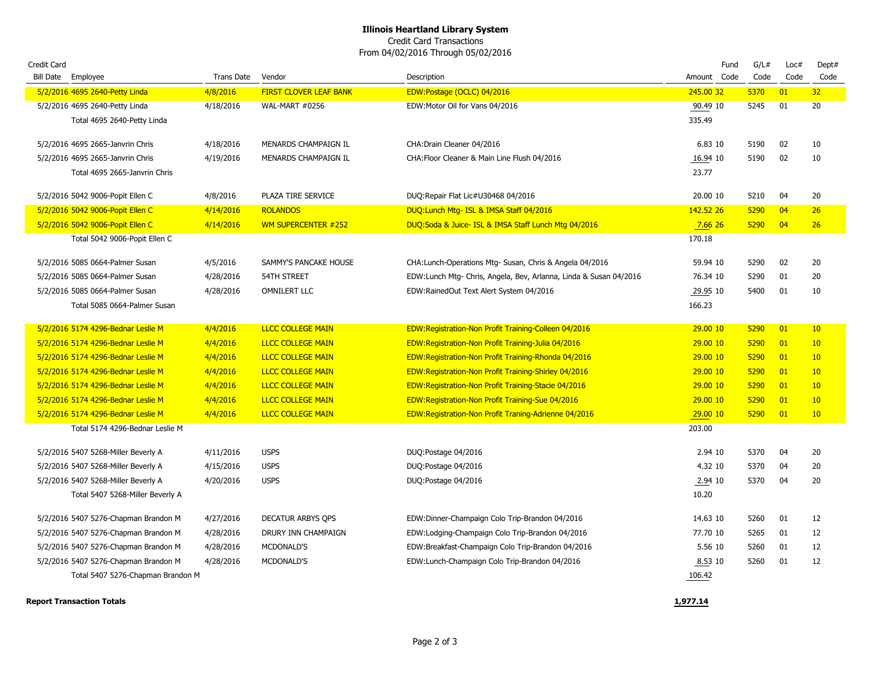Credit Card Transactions From 04/02/2016 Through 05/02/2016

| Credit Card                                                       |                        |                                              |                                                                            | Fund              | G/L#         | Loc# | Dept#    |
|-------------------------------------------------------------------|------------------------|----------------------------------------------|----------------------------------------------------------------------------|-------------------|--------------|------|----------|
| Bill Date Employee                                                | <b>Trans Date</b>      | Vendor                                       | Description                                                                | Amount Code       | Code         | Code | Code     |
| 5/2/2016 4695 2640-Petty Linda                                    | 4/8/2016               | <b>FIRST CLOVER LEAF BANK</b>                | EDW:Postage (OCLC) 04/2016                                                 | 245.00 32         | 5370         | 01   | 32       |
| 5/2/2016 4695 2640-Petty Linda                                    | 4/18/2016              | <b>WAL-MART #0256</b>                        | EDW: Motor Oil for Vans 04/2016                                            | 90.49 10          | 5245         | 01   | 20       |
| Total 4695 2640-Petty Linda                                       |                        |                                              |                                                                            | 335.49            |              |      |          |
|                                                                   |                        |                                              |                                                                            | 6.83 10           |              | 02   |          |
| 5/2/2016 4695 2665-Janvrin Chris                                  | 4/18/2016<br>4/19/2016 | MENARDS CHAMPAIGN IL<br>MENARDS CHAMPAIGN IL | CHA: Drain Cleaner 04/2016<br>CHA: Floor Cleaner & Main Line Flush 04/2016 |                   | 5190<br>5190 | 02   | 10<br>10 |
| 5/2/2016 4695 2665-Janvrin Chris<br>Total 4695 2665-Janvrin Chris |                        |                                              |                                                                            | 16.94 10<br>23.77 |              |      |          |
|                                                                   |                        |                                              |                                                                            |                   |              |      |          |
| 5/2/2016 5042 9006-Popit Ellen C                                  | 4/8/2016               | PLAZA TIRE SERVICE                           | DUQ:Repair Flat Lic#U30468 04/2016                                         | 20.00 10          | 5210         | 04   | 20       |
| 5/2/2016 5042 9006-Popit Ellen C                                  | 4/14/2016              | <b>ROLANDOS</b>                              | DUQ: Lunch Mtg- ISL & IMSA Staff 04/2016                                   | 142.52 26         | 5290         | 04   | 26       |
| 5/2/2016 5042 9006-Popit Ellen C                                  | 4/14/2016              | <b>WM SUPERCENTER #252</b>                   | DUQ:Soda & Juice- ISL & IMSA Staff Lunch Mtg 04/2016                       | 7.6626            | 5290         | 04   | 26       |
| Total 5042 9006-Popit Ellen C                                     |                        |                                              |                                                                            | 170.18            |              |      |          |
|                                                                   |                        |                                              |                                                                            |                   |              |      |          |
| 5/2/2016 5085 0664-Palmer Susan                                   | 4/5/2016               | SAMMY'S PANCAKE HOUSE                        | CHA: Lunch-Operations Mtg- Susan, Chris & Angela 04/2016                   | 59.94 10          | 5290         | 02   | 20       |
| 5/2/2016 5085 0664-Palmer Susan                                   | 4/28/2016              | <b>54TH STREET</b>                           | EDW: Lunch Mtg- Chris, Angela, Bev, Arlanna, Linda & Susan 04/2016         | 76.34 10          | 5290         | 01   | 20       |
| 5/2/2016 5085 0664-Palmer Susan                                   | 4/28/2016              | <b>OMNILERT LLC</b>                          | EDW:RainedOut Text Alert System 04/2016                                    | 29.95 10          | 5400         | 01   | 10       |
| Total 5085 0664-Palmer Susan                                      |                        |                                              |                                                                            | 166.23            |              |      |          |
| 5/2/2016 5174 4296-Bednar Leslie M                                | 4/4/2016               | <b>LLCC COLLEGE MAIN</b>                     | <b>EDW:Registration-Non Profit Training-Colleen 04/2016</b>                | 29.00 10          | 5290         | 01   | 10       |
| 5/2/2016 5174 4296-Bednar Leslie M                                | 4/4/2016               | <b>LLCC COLLEGE MAIN</b>                     | EDW:Registration-Non Profit Training-Julia 04/2016                         | 29.00 10          | 5290         | 01   | 10       |
| 5/2/2016 5174 4296-Bednar Leslie M                                | 4/4/2016               | <b>LLCC COLLEGE MAIN</b>                     | EDW:Registration-Non Profit Training-Rhonda 04/2016                        | 29.00 10          | 5290         | 01   | 10       |
| 5/2/2016 5174 4296-Bednar Leslie M                                | 4/4/2016               | <b>LLCC COLLEGE MAIN</b>                     | EDW:Registration-Non Profit Training-Shirley 04/2016                       | 29.00 10          | 5290         | 01   | 10       |
| 5/2/2016 5174 4296-Bednar Leslie M                                | 4/4/2016               | <b>LLCC COLLEGE MAIN</b>                     | <b>EDW:Registration-Non Profit Training-Stacie 04/2016</b>                 | 29.00 10          | 5290         | 01   | 10       |
| 5/2/2016 5174 4296-Bednar Leslie M                                | 4/4/2016               | <b>LLCC COLLEGE MAIN</b>                     | <b>EDW:Registration-Non Profit Training-Sue 04/2016</b>                    | 29,00 10          | 5290         | 01   | 10       |
| 5/2/2016 5174 4296-Bednar Leslie M                                | 4/4/2016               | <b>LLCC COLLEGE MAIN</b>                     | <b>EDW:Registration-Non Profit Traning-Adrienne 04/2016</b>                | 29.00 10          | 5290         | 01   | 10       |
| Total 5174 4296-Bednar Leslie M                                   |                        |                                              |                                                                            | 203.00            |              |      |          |
|                                                                   |                        |                                              |                                                                            |                   |              |      |          |
| 5/2/2016 5407 5268-Miller Beverly A                               | 4/11/2016              | <b>USPS</b>                                  | DUQ:Postage 04/2016                                                        | 2.94 10           | 5370         | 04   | 20       |
| 5/2/2016 5407 5268-Miller Beverly A                               | 4/15/2016              | <b>USPS</b>                                  | DUQ:Postage 04/2016                                                        | 4.32 10           | 5370         | 04   | 20       |
| 5/2/2016 5407 5268-Miller Beverly A                               | 4/20/2016              | <b>USPS</b>                                  | DUQ:Postage 04/2016                                                        | 2.94 10           | 5370         | 04   | 20       |
| Total 5407 5268-Miller Beverly A                                  |                        |                                              |                                                                            | 10.20             |              |      |          |
| 5/2/2016 5407 5276-Chapman Brandon M                              | 4/27/2016              | <b>DECATUR ARBYS QPS</b>                     | EDW:Dinner-Champaign Colo Trip-Brandon 04/2016                             | 14.63 10          | 5260         | 01   | 12       |
| 5/2/2016 5407 5276-Chapman Brandon M                              | 4/28/2016              | DRURY INN CHAMPAIGN                          | EDW:Lodging-Champaign Colo Trip-Brandon 04/2016                            | 77.70 10          | 5265         | 01   | 12       |
| 5/2/2016 5407 5276-Chapman Brandon M                              | 4/28/2016              | MCDONALD'S                                   | EDW:Breakfast-Champaign Colo Trip-Brandon 04/2016                          | 5.56 10           | 5260         | 01   | 12       |
| 5/2/2016 5407 5276-Chapman Brandon M                              | 4/28/2016              | MCDONALD'S                                   | EDW:Lunch-Champaign Colo Trip-Brandon 04/2016                              | 8.53 10           | 5260         | 01   | 12       |
| Total 5407 5276-Chapman Brandon M                                 |                        |                                              |                                                                            | 106.42            |              |      |          |

**Report Transaction Totals 1,977.14**